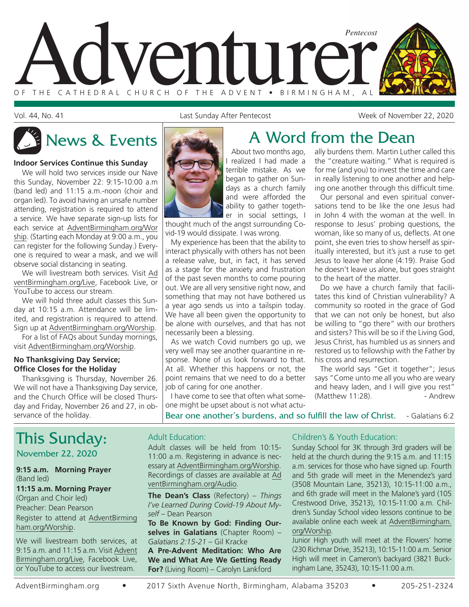

Vol. 44, No. 41 Last Sunday After Pentecost Week of November 22, 2020

#### **Indoor Services Continue this Sunday**

We will hold two services inside our Nave this Sunday, November 22: 9:15-10:00 a.m (band led) and 11:15 a.m.-noon (choir and organ led). To avoid having an unsafe number attending, registration is required to attend a service. We have separate sign-up lists for each service at AdventBirmingham.org/Wor ship. (Starting each Monday at 9:00 a.m., you can register for the following Sunday.) Everyone is required to wear a mask, and we will observe social distancing in seating.

We will livestream both services. Visit Ad ventBirmingham.org/Live, Facebook Live, or YouTube to access our stream.

We will hold three adult classes this Sunday at 10:15 a.m. Attendance will be limited, and registration is required to attend. Sign up at AdventBirmingham.org/Worship.

For a list of FAQs about Sunday mornings, visit AdventBirmingham.org/Worship.

#### **No Thanksgiving Day Service; Office Closes for the Holiday**

Thanksgiving is Thursday, November 26. We will not have a Thanksgiving Day service, and the Church Office will be closed Thursday and Friday, November 26 and 27, in observance of the holiday.



## News & Events **A** Word from the Dean

About two months ago, I realized I had made a terrible mistake. As we began to gather on Sundays as a church family and were afforded the ability to gather togeth-

er in social settings, I thought much of the angst surrounding Covid-19 would dissipate. I was wrong.

My experience has been that the ability to interact physically with others has not been a release valve, but, in fact, it has served as a stage for the anxiety and frustration of the past seven months to come pouring out. We are all very sensitive right now, and something that may not have bothered us a year ago sends us into a tailspin today. We have all been given the opportunity to be alone with ourselves, and that has not necessarily been a blessing.

As we watch Covid numbers go up, we very well may see another quarantine in response. None of us look forward to that. At all. Whether this happens or not, the point remains that we need to do a better job of caring for one another.

I have come to see that often what someone might be upset about is not what actually burdens them. Martin Luther called this the "creature waiting." What is required is for me (and you) to invest the time and care in really listening to one another and helping one another through this difficult time.

Our personal and even spiritual conversations tend to be like the one Jesus had in John 4 with the woman at the well. In response to Jesus' probing questions, the woman, like so many of us, deflects. At one point, she even tries to show herself as spiritually interested, but it's just a ruse to get Jesus to leave her alone (4:19). Praise God he doesn't leave us alone, but goes straight to the heart of the matter.

Do we have a church family that facilitates this kind of Christian vulnerability? A community so rooted in the grace of God that we can not only be honest, but also be willing to "go there" with our brothers and sisters? This will be so if the Living God, Jesus Christ, has humbled us as sinners and restored us to fellowship with the Father by his cross and resurrection.

The world says "Get it together"; Jesus says "Come unto me all you who are weary and heavy laden, and I will give you rest" (Matthew 11:28). - Andrew

Bear one another's burdens, and so fulfill the law of Christ. - Galatians 6:2

## This Sunday:

#### November 22, 2020

#### **9:15 a.m. Morning Prayer** (Band led)

#### **11:15 a.m. Morning Prayer**

(Organ and Choir led) Preacher: Dean Pearson Register to attend at AdventBirming ham.org/Worship.

We will livestream both services, at 9:15 a.m. and 11:15 a.m. Visit Advent Birmingham.org/Live, Facebook Live, or YouTube to access our livestream.

#### Adult Education:

Adult classes will be held from 10:15- 11:00 a.m. Registering in advance is necessary at AdventBirmingham.org/Worship. Recordings of classes are available at Ad ventBirmingham.org/Audio.

**The Dean's Class** (Refectory) – *Things I've Learned During Covid-19 About Myself* – Dean Pearson

**To Be Known by God: Finding Ourselves in Galatians** (Chapter Room) – *Galatians 2:15-21* – Gil Kracke

**A Pre-Advent Meditation: Who Are We and What Are We Getting Ready For?** (Living Room) – Carolyn Lankford

#### Children's & Youth Education:

Sunday School for 3K through 3rd graders will be held at the church during the 9:15 a.m. and 11:15 a.m. services for those who have signed up. Fourth and 5th grade will meet in the Menendez's yard (3508 Mountain Lane, 35213), 10:15-11:00 a.m., and 6th grade will meet in the Malone's yard (105 Crestwood Drive, 35213), 10:15-11:00 a.m. Children's Sunday School video lessons continue to be available online each week at AdventBirmingham. org/Worship.

Junior High youth will meet at the Flowers' home (230 Richmar Drive, 35213), 10:15-11:00 a.m. Senior High will meet in Cameron's backyard (3821 Buckingham Lane, 35243), 10:15-11:00 a.m.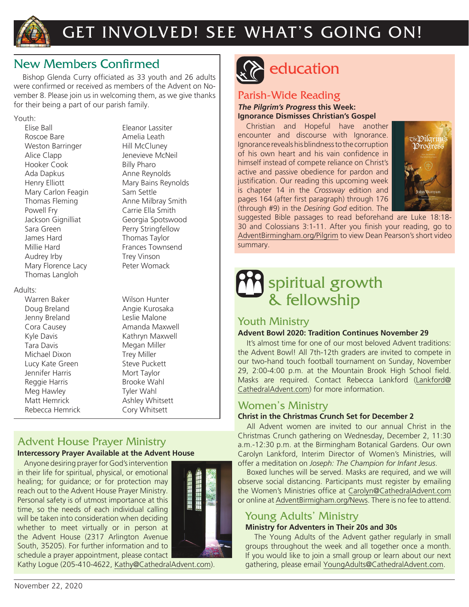

## GET INVOLVED! SEE WHAT'S GOING ON!

### New Members Confirmed

Bishop Glenda Curry officiated as 33 youth and 26 adults were confirmed or received as members of the Advent on November 8. Please join us in welcoming them, as we give thanks for their being a part of our parish family.

#### Youth:

Elise Ball Roscoe Bare Weston Barringer Alice Clapp Hooker Cook Ada Dapkus Henry Elliott Mary Carlon Feagin Thomas Fleming Powell Fry Jackson Gignilliat Sara Green James Hard Millie Hard Audrey Irby Mary Florence Lacy Thomas Langloh

#### Adults:

Warren Baker Doug Breland Jenny Breland Cora Causey Kyle Davis Tara Davis Michael Dixon Lucy Kate Green Jennifer Harris Reggie Harris Meg Hawley Matt Hemrick Rebecca Hemrick Eleanor Lassiter Amelia Leath Hill McCluney Jenevieve McNeil Billy Pharo Anne Reynolds Mary Bains Reynolds Sam Settle Anne Milbray Smith Carrie Ella Smith Georgia Spotswood Perry Stringfellow Thomas Taylor Frances Townsend Trey Vinson Peter Womack

Wilson Hunter Angie Kurosaka Leslie Malone Amanda Maxwell Kathryn Maxwell Megan Miller Trey Miller Steve Puckett Mort Taylor Brooke Wahl Tyler Wahl Ashley Whitsett Cory Whitsett

## Advent House Prayer Ministry

#### **Intercessory Prayer Available at the Advent House**

Anyone desiring prayer for God's intervention in their life for spiritual, physical, or emotional healing; for guidance; or for protection may reach out to the Advent House Prayer Ministry. Personal safety is of utmost importance at this time, so the needs of each individual calling will be taken into consideration when deciding whether to meet virtually or in person at the Advent House (2317 Arlington Avenue South, 35205). For further information and to schedule a prayer appointment, please contact



Kathy Logue (205-410-4622, Kathy@CathedralAdvent.com).



## education

### Parish-Wide Reading

#### **The Pilgrim's Progress this Week: Ignorance Dismisses Christian's Gospel**

Christian and Hopeful have another encounter and discourse with Ignorance. Ignorance reveals his blindness to the corruption of his own heart and his vain confidence in himself instead of compete reliance on Christ's active and passive obedience for pardon and justification. Our reading this upcoming week is chapter 14 in the *Crossway* edition and pages 164 (after first paragraph) through 176 (through #9) in the *Desiring God* edition. The



suggested Bible passages to read beforehand are Luke 18:18- 30 and Colossians 3:1-11. After you finish your reading, go to AdventBirmingham.org/Pilgrim to view Dean Pearson's short video summary.

## spiritual growth & fellowship

### Youth Ministry

#### **Advent Bowl 2020: Tradition Continues November 29**

It's almost time for one of our most beloved Advent traditions: the Advent Bowl! All 7th-12th graders are invited to compete in our two-hand touch football tournament on Sunday, November 29, 2:00-4:00 p.m. at the Mountain Brook High School field. Masks are required. Contact Rebecca Lankford (Lankford@ CathedralAdvent.com) for more information.

#### Women's Ministry

#### **Christ in the Christmas Crunch Set for December 2**

All Advent women are invited to our annual Christ in the Christmas Crunch gathering on Wednesday, December 2, 11:30 a.m.-12:30 p.m. at the Birmingham Botanical Gardens. Our own Carolyn Lankford, Interim Director of Women's Ministries, will offer a meditation on *Joseph: The Champion for Infant Jesus*.

Boxed lunches will be served. Masks are required, and we will observe social distancing. Participants must register by emailing the Women's Ministries office at Carolyn@CathedralAdvent.com or online at AdventBirmigham.org/News. There is no fee to attend.

### Young Adults' Ministry

#### **Ministry for Adventers in Their 20s and 30s**

The Young Adults of the Advent gather regularly in small groups throughout the week and all together once a month. If you would like to join a small group or learn about our next gathering, please email YoungAdults@CathedralAdvent.com.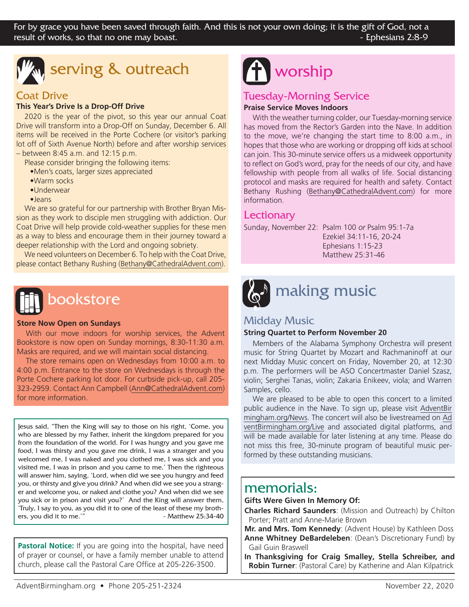

## serving & outreach

#### Coat Drive

#### **This Year's Drive Is a Drop-Off Drive**

2020 is the year of the pivot, so this year our annual Coat Drive will transform into a Drop-Off on Sunday, December 6. All items will be received in the Porte Cochere (or visitor's parking lot off of Sixth Avenue North) before and after worship services – between 8:45 a.m. and 12:15 p.m.

Please consider bringing the following items:

- •Men's coats, larger sizes appreciated
- •Warm socks
- •Underwear
- •Jeans

We are so grateful for our partnership with Brother Bryan Mission as they work to disciple men struggling with addiction. Our Coat Drive will help provide cold-weather supplies for these men as a way to bless and encourage them in their journey toward a deeper relationship with the Lord and ongoing sobriety.

We need volunteers on December 6. To help with the Coat Drive, please contact Bethany Rushing (Bethany@CathedralAdvent.com).

# bookstore

#### **Store Now Open on Sundays**

With our move indoors for worship services, the Advent Bookstore is now open on Sunday mornings, 8:30-11:30 a.m. Masks are required, and we will maintain social distancing.

The store remains open on Wednesdays from 10:00 a.m. to 4:00 p.m. Entrance to the store on Wednesdays is through the Porte Cochere parking lot door. For curbside pick-up, call 205- 323-2959. Contact Ann Campbell (Ann@CathedralAdvent.com) for more information.

Jesus said, "Then the King will say to those on his right, 'Come, you who are blessed by my Father, inherit the kingdom prepared for you from the foundation of the world. For I was hungry and you gave me food, I was thirsty and you gave me drink, I was a stranger and you welcomed me, I was naked and you clothed me, I was sick and you visited me, I was in prison and you came to me.' Then the righteous will answer him, saying, 'Lord, when did we see you hungry and feed you, or thirsty and give you drink? And when did we see you a stranger and welcome you, or naked and clothe you? And when did we see you sick or in prison and visit you?' And the King will answer them, 'Truly, I say to you, as you did it to one of the least of these my brothers, you did it to me.'" - Matthew 25:34-40

**Pastoral Notice:** If you are going into the hospital, have need of prayer or counsel, or have a family member unable to attend church, please call the Pastoral Care Office at 205-226-3500.

### Tuesday-Morning Service

#### **Praise Service Moves Indoors**

With the weather turning colder, our Tuesday-morning service has moved from the Rector's Garden into the Nave. In addition to the move, we're changing the start time to 8:00 a.m., in hopes that those who are working or dropping off kids at school can join. This 30-minute service offers us a midweek opportunity to reflect on God's word, pray for the needs of our city, and have fellowship with people from all walks of life. Social distancing protocol and masks are required for health and safety. Contact Bethany Rushing (Bethany@CathedralAdvent.com) for more information.

#### **Lectionary**

Sunday, November 22: Psalm 100 *or* Psalm 95:1-7a

 Ezekiel 34:11-16, 20-24 Ephesians 1:15-23 Matthew 25:31-46



### Midday Music

#### **String Quartet to Perform November 20**

Members of the Alabama Symphony Orchestra will present music for String Quartet by Mozart and Rachmaninoff at our next Midday Music concert on Friday, November 20, at 12:30 p.m. The performers will be ASO Concertmaster Daniel Szasz, violin; Serghei Tanas, violin; Zakaria Enikeev, viola; and Warren Samples, cello.

We are pleased to be able to open this concert to a limited public audience in the Nave. To sign up, please visit AdventBir mingham.org/News. The concert will also be livestreamed on Ad ventBirmingham.org/Live and associated digital platforms, and will be made available for later listening at any time. Please do not miss this free, 30-minute program of beautiful music performed by these outstanding musicians.

### memorials:

#### **Gifts Were Given In Memory Of:**

**Charles Richard Saunders**: (Mission and Outreach) by Chilton Porter; Pratt and Anne-Marie Brown

**Mr. and Mrs. Tom Kennedy**: (Advent House) by Kathleen Doss **Anne Whitney DeBardeleben**: (Dean's Discretionary Fund) by Gail Guin Braswell

**In Thanksgiving for Craig Smalley, Stella Schreiber, and Robin Turner**: (Pastoral Care) by Katherine and Alan Kilpatrick